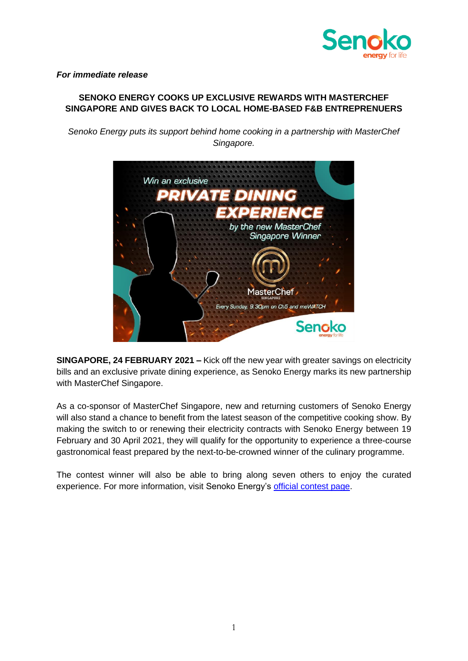

*For immediate release*

## **SENOKO ENERGY COOKS UP EXCLUSIVE REWARDS WITH MASTERCHEF SINGAPORE AND GIVES BACK TO LOCAL HOME-BASED F&B ENTREPRENUERS**

*Senoko Energy puts its support behind home cooking in a partnership with MasterChef Singapore.*



**SINGAPORE, 24 FEBRUARY 2021 –** Kick off the new year with greater savings on electricity bills and an exclusive private dining experience, as Senoko Energy marks its new partnership with MasterChef Singapore.

As a co-sponsor of MasterChef Singapore, new and returning customers of Senoko Energy will also stand a chance to benefit from the latest season of the competitive cooking show. By making the switch to or renewing their electricity contracts with Senoko Energy between 19 February and 30 April 2021, they will qualify for the opportunity to experience a three-course gastronomical feast prepared by the next-to-be-crowned winner of the culinary programme.

The contest winner will also be able to bring along seven others to enjoy the curated experience. For more information, visit Senoko Energy's [official contest page.](https://www.senokoenergy.com/households/promotions/masterchef-singapore)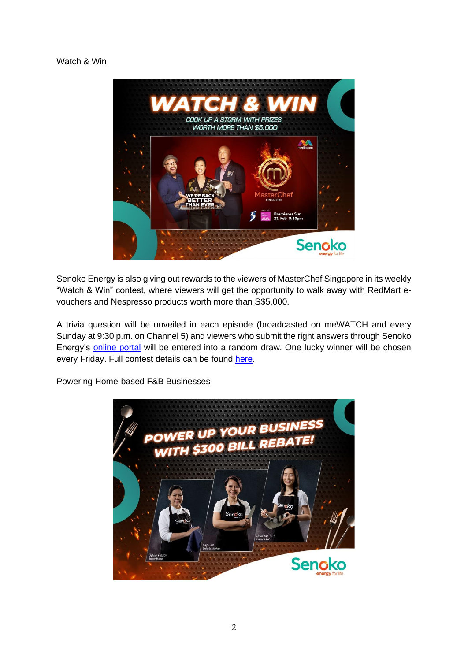## Watch & Win



Senoko Energy is also giving out rewards to the viewers of MasterChef Singapore in its weekly "Watch & Win" contest, where viewers will get the opportunity to walk away with RedMart evouchers and Nespresso products worth more than S\$5,000.

A trivia question will be unveiled in each episode (broadcasted on meWATCH and every Sunday at 9:30 p.m. on Channel 5) and viewers who submit the right answers through Senoko Energy's [online portal](https://www.senokoenergy.com/households/promotions/masterchef-singapore/watch-and-win) will be entered into a random draw. One lucky winner will be chosen every Friday. Full contest details can be found [here.](https://www.senokoenergy.com/households/promotions/masterchef-singapore/watch-and-win)



Powering Home-based F&B Businesses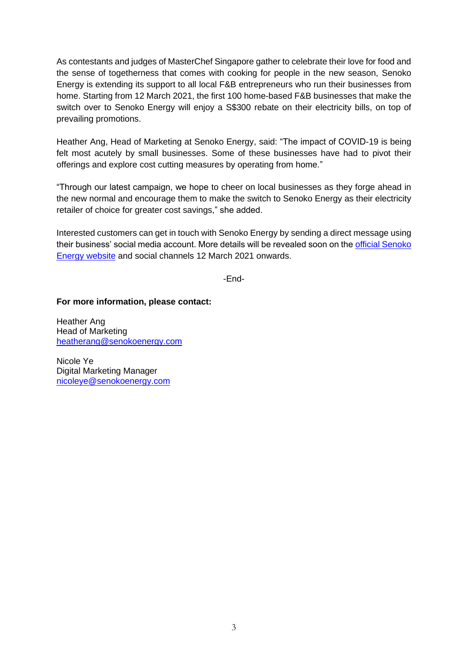As contestants and judges of MasterChef Singapore gather to celebrate their love for food and the sense of togetherness that comes with cooking for people in the new season, Senoko Energy is extending its support to all local F&B entrepreneurs who run their businesses from home. Starting from 12 March 2021, the first 100 home-based F&B businesses that make the switch over to Senoko Energy will enjoy a S\$300 rebate on their electricity bills, on top of prevailing promotions.

Heather Ang, Head of Marketing at Senoko Energy, said: "The impact of COVID-19 is being felt most acutely by small businesses. Some of these businesses have had to pivot their offerings and explore cost cutting measures by operating from home."

"Through our latest campaign, we hope to cheer on local businesses as they forge ahead in the new normal and encourage them to make the switch to Senoko Energy as their electricity retailer of choice for greater cost savings," she added.

Interested customers can get in touch with Senoko Energy by sending a direct message using their business' social media account. More details will be revealed soon on the [official Senoko](https://www.senokoenergy.com/) Energy [website](https://www.senokoenergy.com/) and social channels 12 March 2021 onwards.

-End-

**For more information, please contact:**

Heather Ang Head of Marketing [heatherang@senokoenergy.com](mailto:heatherang@senokoenergy.com)

Nicole Ye Digital Marketing Manager [nicoleye@senokoenergy.com](mailto:nicoleye@senokoenergy.com)